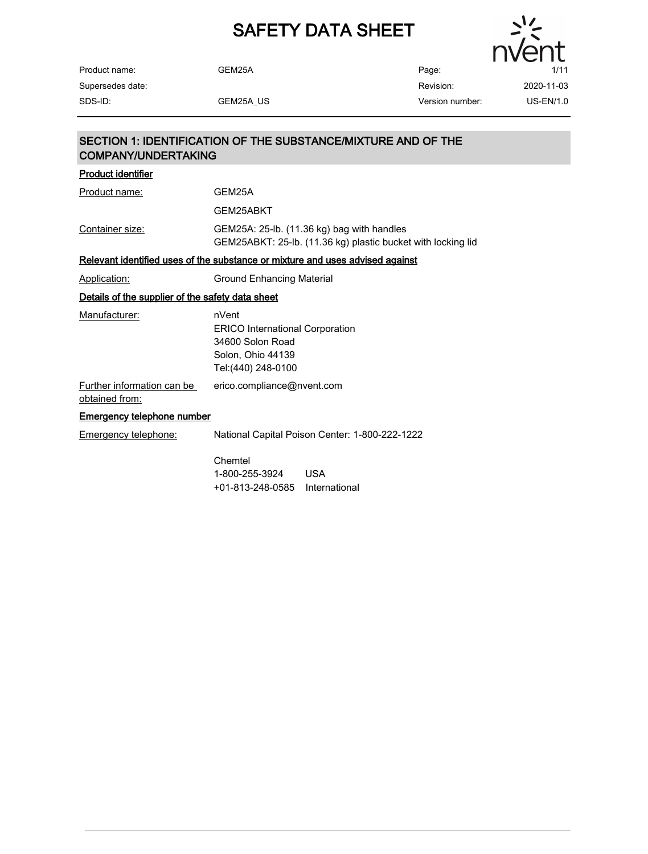

Revision:

GEM25A Page:

Supersedes date:

Product name:

## SECTION 1: IDENTIFICATION OF THE SUBSTANCE/MIXTURE AND OF THE COMPANY/UNDERTAKING

| <b>Product identifier</b>                        |                                                                                                                 |  |  |
|--------------------------------------------------|-----------------------------------------------------------------------------------------------------------------|--|--|
| Product name:                                    | GEM25A                                                                                                          |  |  |
|                                                  | GEM25ABKT                                                                                                       |  |  |
| Container size:                                  | GEM25A: 25-lb. (11.36 kg) bag with handles<br>GEM25ABKT: 25-lb. (11.36 kg) plastic bucket with locking lid      |  |  |
|                                                  | Relevant identified uses of the substance or mixture and uses advised against                                   |  |  |
| Application:                                     | Ground Enhancing Material                                                                                       |  |  |
| Details of the supplier of the safety data sheet |                                                                                                                 |  |  |
| Manufacturer:                                    | nVent<br><b>ERICO International Corporation</b><br>34600 Solon Road<br>Solon, Ohio 44139<br>Tel: (440) 248-0100 |  |  |
| Further information can be<br>obtained from:     | erico.compliance@nvent.com                                                                                      |  |  |
| <b>Emergency telephone number</b>                |                                                                                                                 |  |  |
| <b>Emergency telephone:</b>                      | National Capital Poison Center: 1-800-222-1222                                                                  |  |  |
|                                                  | Chemtel<br><b>USA</b><br>1-800-255-3924<br>+01-813-248-0585<br>International                                    |  |  |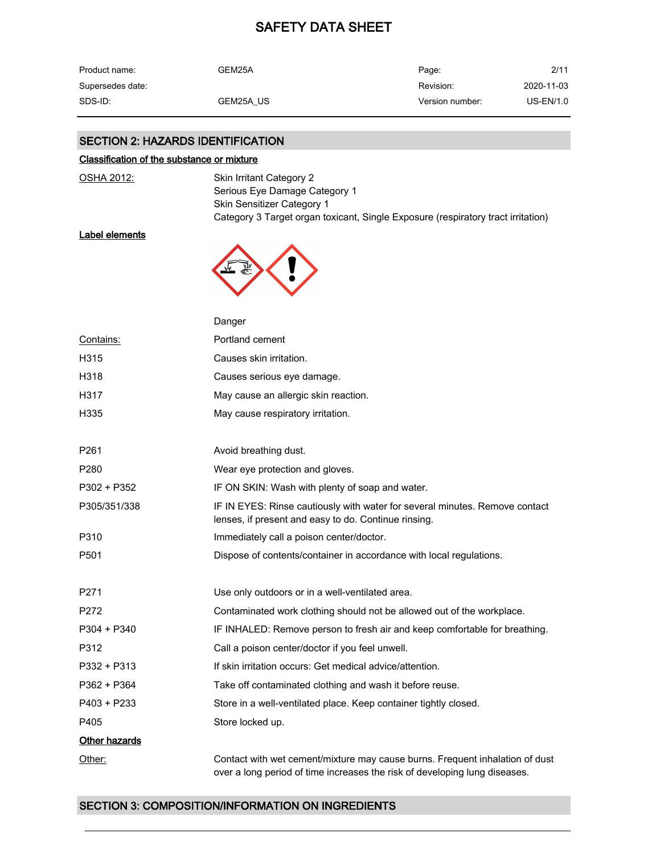| Product name:    | GEM25A    | Page:           | 2/11       |
|------------------|-----------|-----------------|------------|
| Supersedes date: |           | Revision:       | 2020-11-03 |
| SDS-ID:          | GEM25A US | Version number: | US-EN/1.0  |

## SECTION 2: HAZARDS IDENTIFICATION

#### Classification of the substance or mixture

| Skin Irritant Category 2                                                         |
|----------------------------------------------------------------------------------|
| Serious Eye Damage Category 1                                                    |
| <b>Skin Sensitizer Category 1</b>                                                |
| Category 3 Target organ toxicant, Single Exposure (respiratory tract irritation) |

### Label elements

OSHA 2012:



|                  | Danger                                                                                                                                                     |
|------------------|------------------------------------------------------------------------------------------------------------------------------------------------------------|
| Contains:        | Portland cement                                                                                                                                            |
| H315             | Causes skin irritation.                                                                                                                                    |
| H318             | Causes serious eye damage.                                                                                                                                 |
| H317             | May cause an allergic skin reaction.                                                                                                                       |
| H335             | May cause respiratory irritation.                                                                                                                          |
| P <sub>261</sub> | Avoid breathing dust.                                                                                                                                      |
| P280             | Wear eye protection and gloves.                                                                                                                            |
| P302 + P352      | IF ON SKIN: Wash with plenty of soap and water.                                                                                                            |
| P305/351/338     | IF IN EYES: Rinse cautiously with water for several minutes. Remove contact<br>lenses, if present and easy to do. Continue rinsing.                        |
| P310             | Immediately call a poison center/doctor.                                                                                                                   |
| P <sub>501</sub> | Dispose of contents/container in accordance with local regulations.                                                                                        |
| P <sub>271</sub> | Use only outdoors or in a well-ventilated area.                                                                                                            |
| P272             | Contaminated work clothing should not be allowed out of the workplace.                                                                                     |
| $P304 + P340$    | IF INHALED: Remove person to fresh air and keep comfortable for breathing.                                                                                 |
| P312             | Call a poison center/doctor if you feel unwell.                                                                                                            |
| P332 + P313      | If skin irritation occurs: Get medical advice/attention.                                                                                                   |
| P362 + P364      | Take off contaminated clothing and wash it before reuse.                                                                                                   |
| P403 + P233      | Store in a well-ventilated place. Keep container tightly closed.                                                                                           |
| P405             | Store locked up.                                                                                                                                           |
| Other hazards    |                                                                                                                                                            |
| Other:           | Contact with wet cement/mixture may cause burns. Frequent inhalation of dust<br>over a long period of time increases the risk of developing lung diseases. |

## SECTION 3: COMPOSITION/INFORMATION ON INGREDIENTS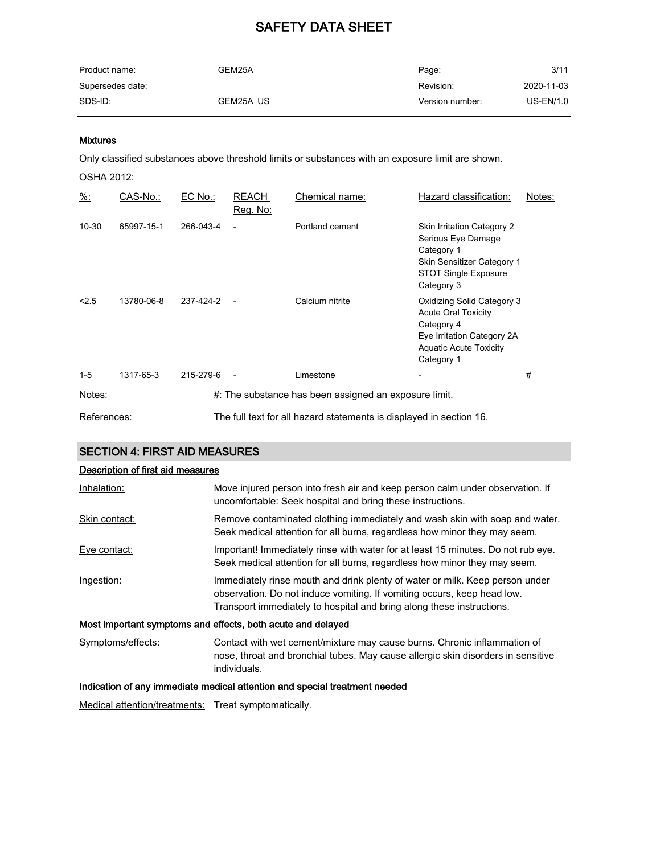| Product name:    | GEM25A    | Page:           | 3/11       |
|------------------|-----------|-----------------|------------|
| Supersedes date: |           | Revision:       | 2020-11-03 |
| SDS-ID:          | GEM25A US | Version number: | US-EN/1.0  |

### **Mixtures**

Only classified substances above threshold limits or substances with an exposure limit are shown.

OSHA 2012:

| $\frac{9}{6}$ : | CAS-No.:   | EC No.:   | <b>REACH</b><br>Reg. No: | Chemical name:                                                      | Hazard classification:                                                                                                                              | Notes: |
|-----------------|------------|-----------|--------------------------|---------------------------------------------------------------------|-----------------------------------------------------------------------------------------------------------------------------------------------------|--------|
| $10 - 30$       | 65997-15-1 | 266-043-4 |                          | Portland cement                                                     | Skin Irritation Category 2<br>Serious Eye Damage<br>Category 1<br>Skin Sensitizer Category 1<br><b>STOT Single Exposure</b><br>Category 3           |        |
| < 2.5           | 13780-06-8 | 237-424-2 |                          | Calcium nitrite                                                     | Oxidizing Solid Category 3<br><b>Acute Oral Toxicity</b><br>Category 4<br>Eye Irritation Category 2A<br><b>Aquatic Acute Toxicity</b><br>Category 1 |        |
| $1-5$           | 1317-65-3  | 215-279-6 | $\overline{\phantom{a}}$ | Limestone                                                           |                                                                                                                                                     | #      |
| Notes:          |            |           |                          | #: The substance has been assigned an exposure limit.               |                                                                                                                                                     |        |
| References:     |            |           |                          | The full text for all hazard statements is displayed in section 16. |                                                                                                                                                     |        |

### SECTION 4: FIRST AID MEASURES

### Description of first aid measures

| Inhalation:       | Move injured person into fresh air and keep person calm under observation. If<br>uncomfortable: Seek hospital and bring these instructions.                                                                                      |
|-------------------|----------------------------------------------------------------------------------------------------------------------------------------------------------------------------------------------------------------------------------|
| Skin contact:     | Remove contaminated clothing immediately and wash skin with soap and water.<br>Seek medical attention for all burns, regardless how minor they may seem.                                                                         |
| Eye contact:      | Important! Immediately rinse with water for at least 15 minutes. Do not rub eye.<br>Seek medical attention for all burns, regardless how minor they may seem.                                                                    |
| Ingestion:        | Immediately rinse mouth and drink plenty of water or milk. Keep person under<br>observation. Do not induce vomiting. If vomiting occurs, keep head low.<br>Transport immediately to hospital and bring along these instructions. |
|                   | Most important symptoms and effects, both acute and delayed                                                                                                                                                                      |
| Symptoms/effects: | Contact with wet cement/mixture may cause burns. Chronic inflammation of<br>nose, throat and bronchial tubes. May cause allergic skin disorders in sensitive<br>individuals.                                                     |
|                   | Indication of any immediate medical attention and special treatment needed                                                                                                                                                       |

Medical attention/treatments: Treat symptomatically.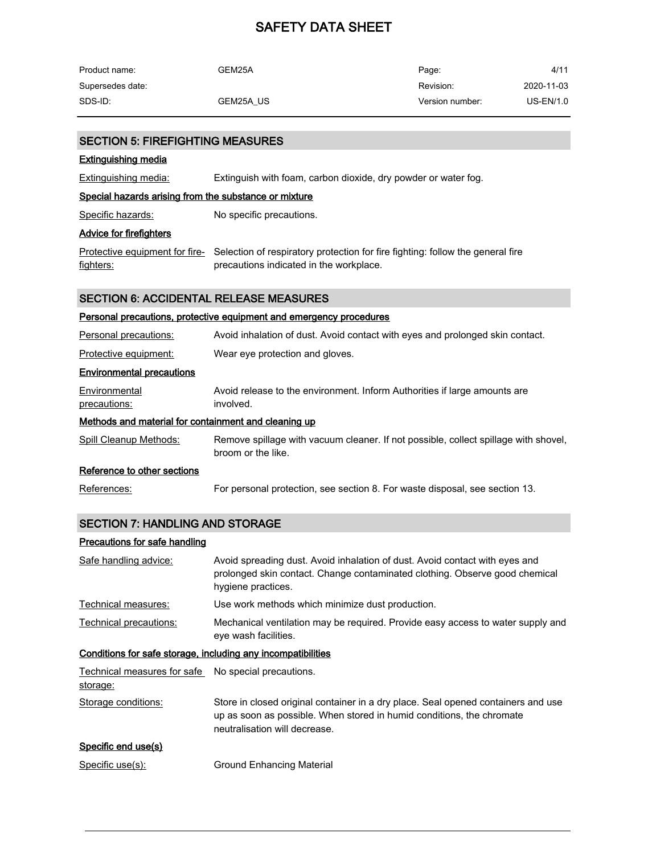| Product name:    | GEM25A    | Page:           | 4/11       |
|------------------|-----------|-----------------|------------|
| Supersedes date: |           | Revision:       | 2020-11-03 |
| SDS-ID:          | GEM25A US | Version number: | US-EN/1.0  |

| <b>Extinguishing media</b>                            |                                                                                                                                                          |
|-------------------------------------------------------|----------------------------------------------------------------------------------------------------------------------------------------------------------|
| <b>Extinguishing media:</b>                           | Extinguish with foam, carbon dioxide, dry powder or water fog.                                                                                           |
| Special hazards arising from the substance or mixture |                                                                                                                                                          |
| Specific hazards:                                     | No specific precautions.                                                                                                                                 |
| <u>Advice for firefighters</u>                        |                                                                                                                                                          |
| fighters:                                             | Protective equipment for fire- Selection of respiratory protection for fire fighting: follow the general fire<br>precautions indicated in the workplace. |
| <b>SECTION 6: ACCIDENTAL RELEASE MEASURES</b>         |                                                                                                                                                          |
|                                                       | Personal precautions, protective equipment and emergency procedures                                                                                      |
| Personal precautions:                                 | Avoid inhalation of dust. Avoid contact with eyes and prolonged skin contact.                                                                            |
| Protective equipment:                                 | Wear eye protection and gloves.                                                                                                                          |
| <b>Environmental precautions</b>                      |                                                                                                                                                          |
| Environmental<br>precautions:                         | Avoid release to the environment. Inform Authorities if large amounts are<br>involved.                                                                   |
| Methods and material for containment and cleaning up  |                                                                                                                                                          |
| <b>Spill Cleanup Methods:</b>                         | Remove spillage with vacuum cleaner. If not possible, collect spillage with shovel,<br>broom or the like.                                                |
| Reference to other sections                           |                                                                                                                                                          |
| References:                                           | For personal protection, see section 8. For waste disposal, see section 13.                                                                              |

## SECTION 7: HANDLING AND STORAGE

SECTION 5: FIREFIGHTING MEASURES

### Precautions for safe handling

| Safe handling advice:                                           | Avoid spreading dust. Avoid inhalation of dust. Avoid contact with eyes and<br>prolonged skin contact. Change contaminated clothing. Observe good chemical<br>hygiene practices.            |  |
|-----------------------------------------------------------------|---------------------------------------------------------------------------------------------------------------------------------------------------------------------------------------------|--|
| Technical measures:                                             | Use work methods which minimize dust production.                                                                                                                                            |  |
| Technical precautions:                                          | Mechanical ventilation may be required. Provide easy access to water supply and<br>eye wash facilities.                                                                                     |  |
| Conditions for safe storage, including any incompatibilities    |                                                                                                                                                                                             |  |
| Technical measures for safe No special precautions.<br>storage: |                                                                                                                                                                                             |  |
| Storage conditions:                                             | Store in closed original container in a dry place. Seal opened containers and use<br>up as soon as possible. When stored in humid conditions, the chromate<br>neutralisation will decrease. |  |

#### Specific end use(s)

Specific use(s): Ground Enhancing Material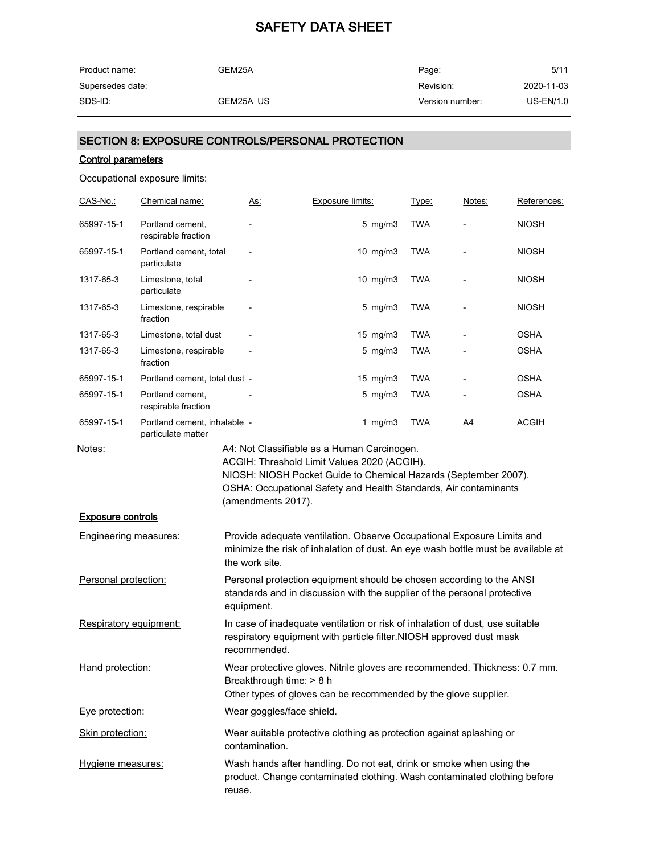| Product name:    | GEM25A    | Page:           | 5/11       |
|------------------|-----------|-----------------|------------|
| Supersedes date: |           | Revision:       | 2020-11-03 |
| SDS-ID:          | GEM25A US | Version number: | US-EN/1.0  |

## SECTION 8: EXPOSURE CONTROLS/PERSONAL PROTECTION

#### Control parameters

Occupational exposure limits:

| <u>CAS-No.:</u>                                          | Chemical name:                                     | <u>As:</u>               | <b>Exposure limits:</b>                                                                                                                                                                                       | Type:      | <u>Notes:</u> | References:  |
|----------------------------------------------------------|----------------------------------------------------|--------------------------|---------------------------------------------------------------------------------------------------------------------------------------------------------------------------------------------------------------|------------|---------------|--------------|
| 65997-15-1                                               | Portland cement,<br>respirable fraction            |                          | $5$ mg/m $3$                                                                                                                                                                                                  | <b>TWA</b> |               | <b>NIOSH</b> |
| 65997-15-1                                               | Portland cement, total<br>particulate              | $\overline{\phantom{a}}$ | 10 mg/m3                                                                                                                                                                                                      | <b>TWA</b> |               | <b>NIOSH</b> |
| 1317-65-3                                                | Limestone, total<br>particulate                    |                          | 10 mg/m3                                                                                                                                                                                                      | <b>TWA</b> |               | <b>NIOSH</b> |
| 1317-65-3                                                | Limestone, respirable<br>fraction                  |                          | $5$ mg/m $3$                                                                                                                                                                                                  | TWA        |               | <b>NIOSH</b> |
| 1317-65-3                                                | Limestone, total dust                              |                          | $15 \text{ mg/m}$                                                                                                                                                                                             | <b>TWA</b> |               | <b>OSHA</b>  |
| 1317-65-3                                                | Limestone, respirable<br>fraction                  |                          | $5$ mg/m $3$                                                                                                                                                                                                  | <b>TWA</b> |               | <b>OSHA</b>  |
| 65997-15-1                                               | Portland cement, total dust -                      |                          | 15 mg/m3                                                                                                                                                                                                      | <b>TWA</b> |               | <b>OSHA</b>  |
| 65997-15-1                                               | Portland cement,<br>respirable fraction            |                          | $5$ mg/m $3$                                                                                                                                                                                                  | <b>TWA</b> |               | <b>OSHA</b>  |
| 65997-15-1                                               | Portland cement, inhalable -<br>particulate matter |                          | 1 mg/m $3$                                                                                                                                                                                                    | <b>TWA</b> | A4            | ACGIH        |
| <b>Exposure controls</b><br><b>Engineering measures:</b> |                                                    | (amendments 2017).       | NIOSH: NIOSH Pocket Guide to Chemical Hazards (September 2007).<br>OSHA: Occupational Safety and Health Standards, Air contaminants<br>Provide adequate ventilation. Observe Occupational Exposure Limits and |            |               |              |
|                                                          |                                                    | the work site.           | minimize the risk of inhalation of dust. An eye wash bottle must be available at                                                                                                                              |            |               |              |
| Personal protection:                                     |                                                    | equipment.               | Personal protection equipment should be chosen according to the ANSI<br>standards and in discussion with the supplier of the personal protective                                                              |            |               |              |
| Respiratory equipment:                                   |                                                    | recommended.             | In case of inadequate ventilation or risk of inhalation of dust, use suitable<br>respiratory equipment with particle filter.NIOSH approved dust mask                                                          |            |               |              |
| Hand protection:                                         |                                                    |                          | Wear protective gloves. Nitrile gloves are recommended. Thickness: 0.7 mm.<br>Breakthrough time: > 8 h<br>Other types of gloves can be recommended by the glove supplier.                                     |            |               |              |
| Eye protection:                                          |                                                    |                          | Wear goggles/face shield.                                                                                                                                                                                     |            |               |              |
| Skin protection:                                         |                                                    | contamination.           | Wear suitable protective clothing as protection against splashing or                                                                                                                                          |            |               |              |
| Hygiene measures:                                        |                                                    | reuse.                   | Wash hands after handling. Do not eat, drink or smoke when using the<br>product. Change contaminated clothing. Wash contaminated clothing before                                                              |            |               |              |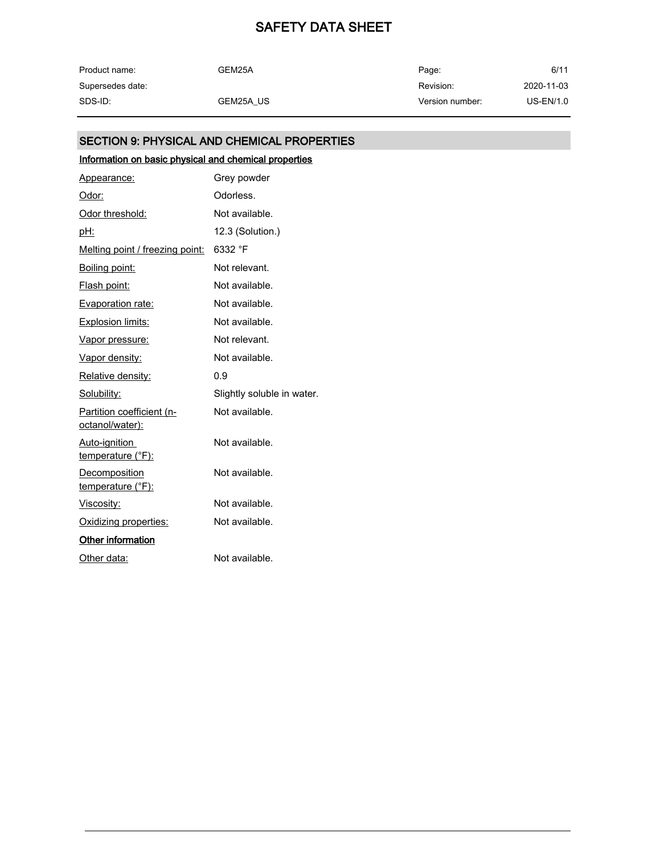| Product name:    | GEM25A    | Page:           | 6/11       |
|------------------|-----------|-----------------|------------|
| Supersedes date: |           | Revision:       | 2020-11-03 |
| SDS-ID:          | GEM25A US | Version number: | US-EN/1.0  |

## SECTION 9: PHYSICAL AND CHEMICAL PROPERTIES

## Information on basic physical and chemical properties

| Appearance:                                      | Grey powder                |
|--------------------------------------------------|----------------------------|
| Odor:                                            | Odorless.                  |
| Odor threshold:                                  | Not available.             |
| <u>pH:</u>                                       | 12.3 (Solution.)           |
| Melting point / freezing point:                  | 6332 °F                    |
| Boiling point:                                   | Not relevant.              |
| Flash point:                                     | Not available.             |
| Evaporation rate:                                | Not available.             |
| <b>Explosion limits:</b>                         | Not available.             |
| Vapor pressure:                                  | Not relevant.              |
| Vapor density:                                   | Not available.             |
| Relative density:                                | 0.9                        |
| Solubility:                                      | Slightly soluble in water. |
| Partition coefficient (n-<br>octanol/water):     | Not available.             |
| Auto-ignition<br>temperature (°F):               | Not available.             |
| <b>Decomposition</b><br><u>temperature (°F):</u> | Not available.             |
| <u>Viscosity:</u>                                | Not available.             |
| Oxidizing properties:                            | Not available.             |
| Other information                                |                            |
| Other data:                                      | Not available.             |
|                                                  |                            |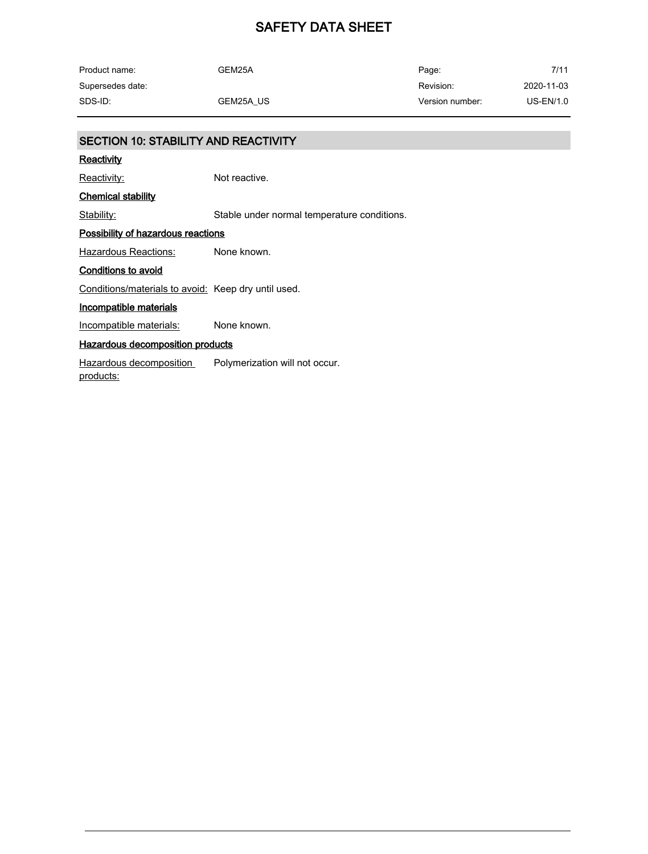| Product name:    | GEM25A    | Page:           | 7/11       |
|------------------|-----------|-----------------|------------|
| Supersedes date: |           | Revision:       | 2020-11-03 |
| SDS-ID:          | GEM25A US | Version number: | US-EN/1.0  |

| <b>SECTION 10: STABILITY AND REACTIVITY</b>         |                                             |
|-----------------------------------------------------|---------------------------------------------|
| Reactivity                                          |                                             |
| Reactivity:                                         | Not reactive.                               |
| <b>Chemical stability</b>                           |                                             |
| Stability:                                          | Stable under normal temperature conditions. |
| <b>Possibility of hazardous reactions</b>           |                                             |
| Hazardous Reactions:                                | None known.                                 |
| <b>Conditions to avoid</b>                          |                                             |
| Conditions/materials to avoid: Keep dry until used. |                                             |
| Incompatible materials                              |                                             |
| Incompatible materials:                             | None known.                                 |
| <b>Hazardous decomposition products</b>             |                                             |
| Hazardous decomposition<br>products:                | Polymerization will not occur.              |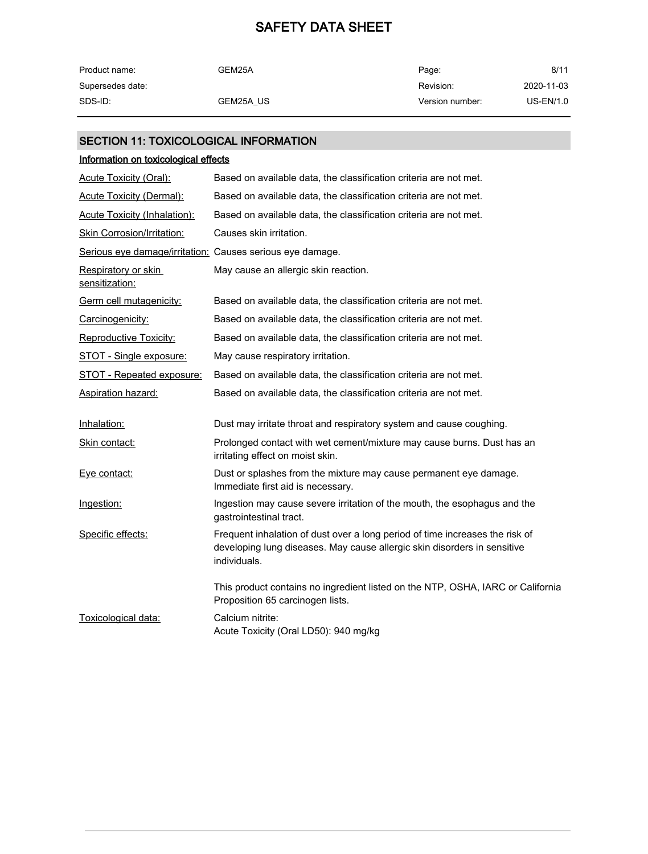| Product name:    | GEM25A    | Page:           | 8/11             |
|------------------|-----------|-----------------|------------------|
| Supersedes date: |           | Revision:       | 2020-11-03       |
| SDS-ID:          | GEM25A US | Version number: | <b>US-EN/1.0</b> |

### SECTION 11: TOXICOLOGICAL INFORMATION

| Information on toxicological effects                      |                                                                                                                                                                          |
|-----------------------------------------------------------|--------------------------------------------------------------------------------------------------------------------------------------------------------------------------|
| Acute Toxicity (Oral):                                    | Based on available data, the classification criteria are not met.                                                                                                        |
| Acute Toxicity (Dermal):                                  | Based on available data, the classification criteria are not met.                                                                                                        |
| <b>Acute Toxicity (Inhalation):</b>                       | Based on available data, the classification criteria are not met.                                                                                                        |
| Skin Corrosion/Irritation:                                | Causes skin irritation.                                                                                                                                                  |
| Serious eye damage/irritation: Causes serious eye damage. |                                                                                                                                                                          |
| Respiratory or skin<br>sensitization:                     | May cause an allergic skin reaction.                                                                                                                                     |
| Germ cell mutagenicity:                                   | Based on available data, the classification criteria are not met.                                                                                                        |
| Carcinogenicity:                                          | Based on available data, the classification criteria are not met.                                                                                                        |
| <b>Reproductive Toxicity:</b>                             | Based on available data, the classification criteria are not met.                                                                                                        |
| STOT - Single exposure:                                   | May cause respiratory irritation.                                                                                                                                        |
| STOT - Repeated exposure:                                 | Based on available data, the classification criteria are not met.                                                                                                        |
| <b>Aspiration hazard:</b>                                 | Based on available data, the classification criteria are not met.                                                                                                        |
| Inhalation:                                               | Dust may irritate throat and respiratory system and cause coughing.                                                                                                      |
| Skin contact:                                             | Prolonged contact with wet cement/mixture may cause burns. Dust has an<br>irritating effect on moist skin.                                                               |
| Eye contact:                                              | Dust or splashes from the mixture may cause permanent eye damage.<br>Immediate first aid is necessary.                                                                   |
| Ingestion:                                                | Ingestion may cause severe irritation of the mouth, the esophagus and the<br>gastrointestinal tract.                                                                     |
| Specific effects:                                         | Frequent inhalation of dust over a long period of time increases the risk of<br>developing lung diseases. May cause allergic skin disorders in sensitive<br>individuals. |
|                                                           | This product contains no ingredient listed on the NTP, OSHA, IARC or California<br>Proposition 65 carcinogen lists.                                                      |
| Toxicological data:                                       | Calcium nitrite:<br>Acute Toxicity (Oral LD50): 940 mg/kg                                                                                                                |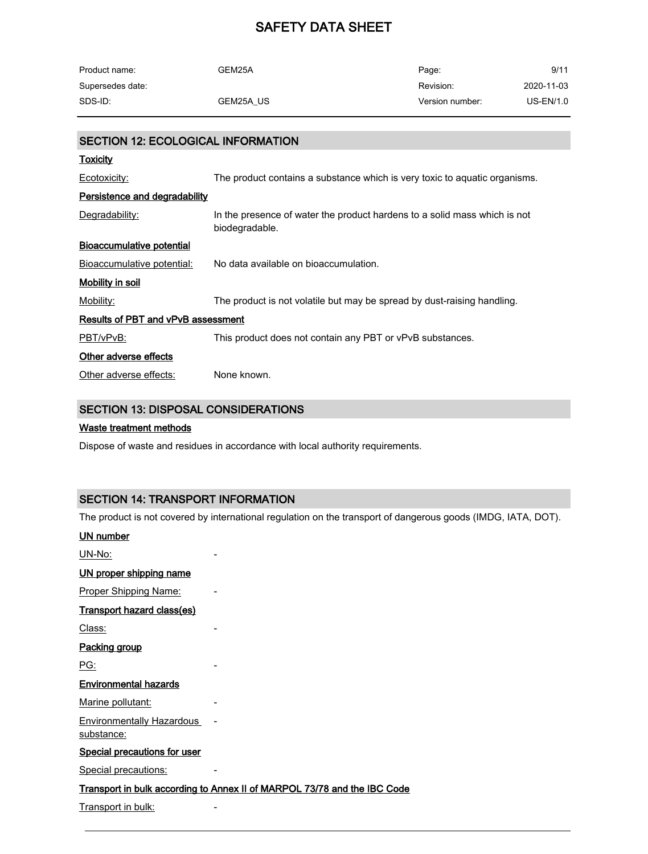| Product name:    | GEM25A    | Page:           | 9/11        |
|------------------|-----------|-----------------|-------------|
| Supersedes date: |           | Revision:       | 2020-11-03  |
| SDS-ID:          | GEM25A US | Version number: | $US-EN/1.0$ |

| SECTION 12: ECOLOGICAL INFORMATION   |                                                                                             |
|--------------------------------------|---------------------------------------------------------------------------------------------|
| <b>Toxicity</b>                      |                                                                                             |
| Ecotoxicity:                         | The product contains a substance which is very toxic to aquatic organisms.                  |
| <b>Persistence and degradability</b> |                                                                                             |
| Degradability:                       | In the presence of water the product hardens to a solid mass which is not<br>biodegradable. |
| Bioaccumulative potential            |                                                                                             |
| Bioaccumulative potential:           | No data available on bioaccumulation.                                                       |
| Mobility in soil                     |                                                                                             |
| Mobility:                            | The product is not volatile but may be spread by dust-raising handling.                     |
| Results of PBT and vPvB assessment   |                                                                                             |
| PBT/vPvB:                            | This product does not contain any PBT or vPvB substances.                                   |
| Other adverse effects                |                                                                                             |
| Other adverse effects:               | None known.                                                                                 |

### SECTION 13: DISPOSAL CONSIDERATIONS

#### Waste treatment methods

Dispose of waste and residues in accordance with local authority requirements.

#### SECTION 14: TRANSPORT INFORMATION

The product is not covered by international regulation on the transport of dangerous goods (IMDG, IATA, DOT).

#### UN number

UN-No: -

| UN proper shipping name      |  |
|------------------------------|--|
| Proper Shipping Name:        |  |
| Transport hazard class(es)   |  |
| Class:                       |  |
| Packing group                |  |
| PG:                          |  |
| <b>Environmental hazards</b> |  |
| Marine pollutant:            |  |

Environmentally Hazardous substance:

#### Special precautions for user

Special precautions:

#### Transport in bulk according to Annex II of MARPOL 73/78 and the IBC Code

Transport in bulk: Transport in bulk: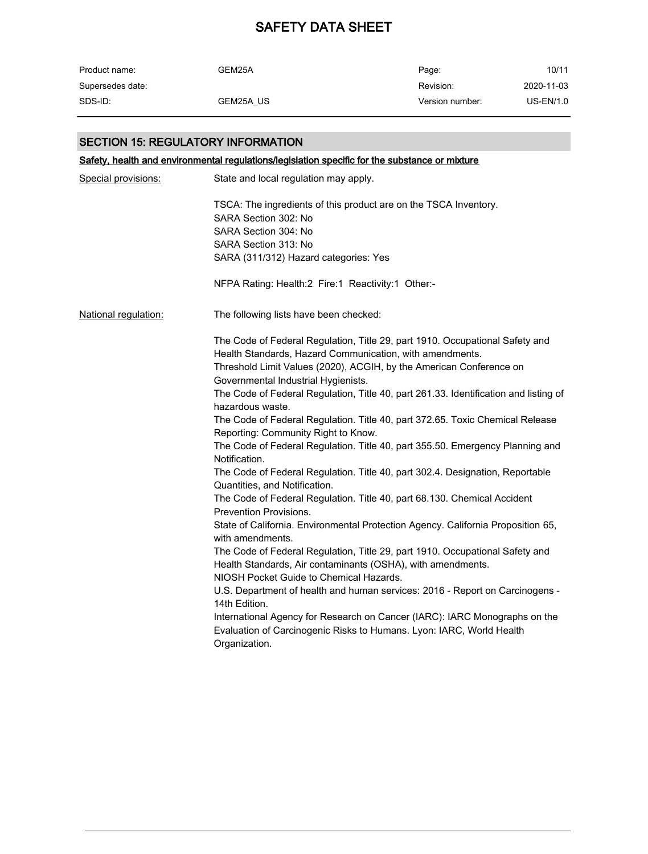| Product name:    | GEM25A    | Page:           | 10/11       |
|------------------|-----------|-----------------|-------------|
| Supersedes date: |           | Revision:       | 2020-11-03  |
| SDS-ID:          | GEM25A US | Version number: | $US-EN/1.0$ |

#### SECTION 15: REGULATORY INFORMATION

Safety, health and environmental regulations/legislation specific for the substance or mixture Special provisions: State and local regulation may apply. TSCA: The ingredients of this product are on the TSCA Inventory. SARA Section 302: No SARA Section 304: No SARA Section 313: No SARA (311/312) Hazard categories: Yes NFPA Rating: Health:2 Fire:1 Reactivity:1 Other:- National regulation: The following lists have been checked: The Code of Federal Regulation, Title 29, part 1910. Occupational Safety and Health Standards, Hazard Communication, with amendments. Threshold Limit Values (2020), ACGIH, by the American Conference on Governmental Industrial Hygienists. The Code of Federal Regulation, Title 40, part 261.33. Identification and listing of hazardous waste. The Code of Federal Regulation. Title 40, part 372.65. Toxic Chemical Release Reporting: Community Right to Know. The Code of Federal Regulation. Title 40, part 355.50. Emergency Planning and Notification. The Code of Federal Regulation. Title 40, part 302.4. Designation, Reportable Quantities, and Notification. The Code of Federal Regulation. Title 40, part 68.130. Chemical Accident Prevention Provisions. State of California. Environmental Protection Agency. California Proposition 65, with amendments. The Code of Federal Regulation, Title 29, part 1910. Occupational Safety and Health Standards, Air contaminants (OSHA), with amendments. NIOSH Pocket Guide to Chemical Hazards. U.S. Department of health and human services: 2016 - Report on Carcinogens - 14th Edition. International Agency for Research on Cancer (IARC): IARC Monographs on the Evaluation of Carcinogenic Risks to Humans. Lyon: IARC, World Health Organization.